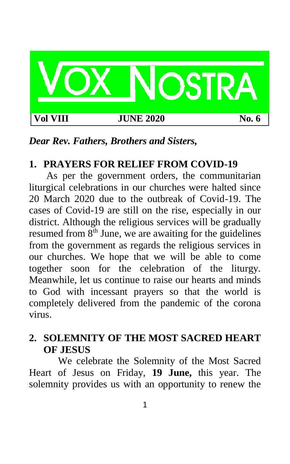

*Dear Rev. Fathers, Brothers and Sisters,*

# **1. PRAYERS FOR RELIEF FROM COVID-19**

As per the government orders, the communitarian liturgical celebrations in our churches were halted since 20 March 2020 due to the outbreak of Covid-19. The cases of Covid-19 are still on the rise, especially in our district. Although the religious services will be gradually resumed from  $8<sup>th</sup>$  June, we are awaiting for the guidelines from the government as regards the religious services in our churches. We hope that we will be able to come together soon for the celebration of the liturgy. Meanwhile, let us continue to raise our hearts and minds to God with incessant prayers so that the world is completely delivered from the pandemic of the corona virus.

## **2. SOLEMNITY OF THE MOST SACRED HEART OF JESUS**

We celebrate the Solemnity of the Most Sacred Heart of Jesus on Friday, **19 June,** this year. The solemnity provides us with an opportunity to renew the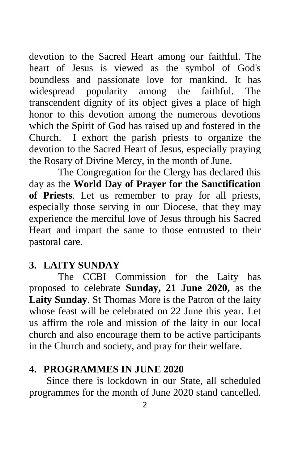devotion to the Sacred Heart among our faithful. The heart of Jesus is viewed as the symbol of God's boundless and passionate love for mankind. It has widespread popularity among the faithful. The transcendent dignity of its object gives a place of high honor to this devotion among the numerous devotions which the Spirit of God has raised up and fostered in the Church. I exhort the parish priests to organize the devotion to the Sacred Heart of Jesus, especially praying the Rosary of Divine Mercy, in the month of June.

The Congregation for the Clergy has declared this day as the **World Day of Prayer for the Sanctification of Priests**. Let us remember to pray for all priests, especially those serving in our Diocese, that they may experience the merciful love of Jesus through his Sacred Heart and impart the same to those entrusted to their pastoral care.

# **3. LAITY SUNDAY**

The CCBI Commission for the Laity has proposed to celebrate **Sunday, 21 June 2020,** as the **Laity Sunday**. St Thomas More is the Patron of the laity whose feast will be celebrated on 22 June this year. Let us affirm the role and mission of the laity in our local church and also encourage them to be active participants in the Church and society, and pray for their welfare.

# **4. PROGRAMMES IN JUNE 2020**

Since there is lockdown in our State, all scheduled programmes for the month of June 2020 stand cancelled.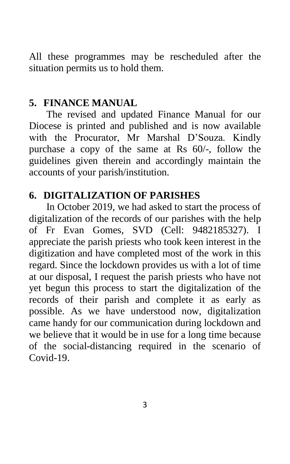All these programmes may be rescheduled after the situation permits us to hold them.

#### **5. FINANCE MANUAL**

The revised and updated Finance Manual for our Diocese is printed and published and is now available with the Procurator, Mr Marshal D'Souza. Kindly purchase a copy of the same at Rs 60/-, follow the guidelines given therein and accordingly maintain the accounts of your parish/institution.

#### **6. DIGITALIZATION OF PARISHES**

In October 2019, we had asked to start the process of digitalization of the records of our parishes with the help of Fr Evan Gomes, SVD (Cell: 9482185327). I appreciate the parish priests who took keen interest in the digitization and have completed most of the work in this regard. Since the lockdown provides us with a lot of time at our disposal, I request the parish priests who have not yet begun this process to start the digitalization of the records of their parish and complete it as early as possible. As we have understood now, digitalization came handy for our communication during lockdown and we believe that it would be in use for a long time because of the social-distancing required in the scenario of Covid-19.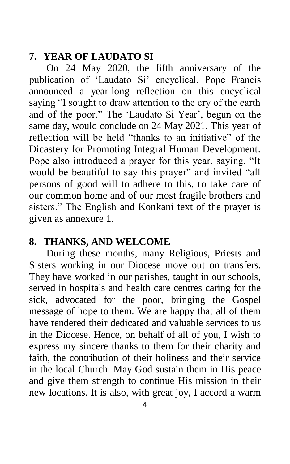### **7. YEAR OF LAUDATO SI**

On 24 May 2020, the fifth anniversary of the publication of 'Laudato Si' encyclical, Pope Francis announced a year-long reflection on this encyclical saying "I sought to draw attention to the cry of the earth and of the poor." The 'Laudato Si Year', begun on the same day, would conclude on 24 May 2021. This year of reflection will be held "thanks to an initiative" of the Dicastery for Promoting Integral Human Development. Pope also introduced a prayer for this year, saying, "It would be beautiful to say this prayer" and invited "all persons of good will to adhere to this, to take care of our common home and of our most fragile brothers and sisters." The English and Konkani text of the prayer is given as annexure 1.

### **8. THANKS, AND WELCOME**

During these months, many Religious, Priests and Sisters working in our Diocese move out on transfers. They have worked in our parishes, taught in our schools, served in hospitals and health care centres caring for the sick, advocated for the poor, bringing the Gospel message of hope to them. We are happy that all of them have rendered their dedicated and valuable services to us in the Diocese. Hence, on behalf of all of you, I wish to express my sincere thanks to them for their charity and faith, the contribution of their holiness and their service in the local Church. May God sustain them in His peace and give them strength to continue His mission in their new locations. It is also, with great joy, I accord a warm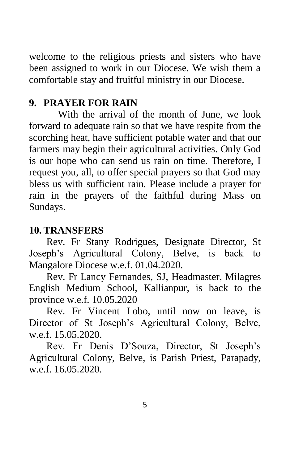welcome to the religious priests and sisters who have been assigned to work in our Diocese. We wish them a comfortable stay and fruitful ministry in our Diocese.

## **9. PRAYER FOR RAIN**

With the arrival of the month of June, we look forward to adequate rain so that we have respite from the scorching heat, have sufficient potable water and that our farmers may begin their agricultural activities. Only God is our hope who can send us rain on time. Therefore, I request you, all, to offer special prayers so that God may bless us with sufficient rain. Please include a prayer for rain in the prayers of the faithful during Mass on Sundays.

## **10. TRANSFERS**

Rev. Fr Stany Rodrigues, Designate Director, St Joseph's Agricultural Colony, Belve, is back to Mangalore Diocese w.e.f. 01.04.2020.

Rev. Fr Lancy Fernandes, SJ, Headmaster, Milagres English Medium School, Kallianpur, is back to the province w.e.f. 10.05.2020

Rev. Fr Vincent Lobo, until now on leave, is Director of St Joseph's Agricultural Colony, Belve, w.e.f. 15.05.2020.

Rev. Fr Denis D'Souza, Director, St Joseph's Agricultural Colony, Belve, is Parish Priest, Parapady, w.e.f. 16.05.2020.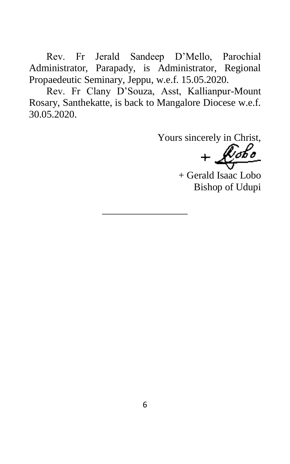Rev. Fr Jerald Sandeep D'Mello, Parochial Administrator, Parapady, is Administrator, Regional Propaedeutic Seminary, Jeppu, w.e.f. 15.05.2020.

Rev. Fr Clany D'Souza, Asst, Kallianpur-Mount Rosary, Santhekatte, is back to Mangalore Diocese w.e.f. 30.05.2020.

\_\_\_\_\_\_\_\_\_\_\_\_\_\_\_\_\_

Yours sincerely in Christ,

 $+$  $\sqrt{\mathscr{C}^{bbo}}$ 

+ Gerald Isaac Lobo Bishop of Udupi